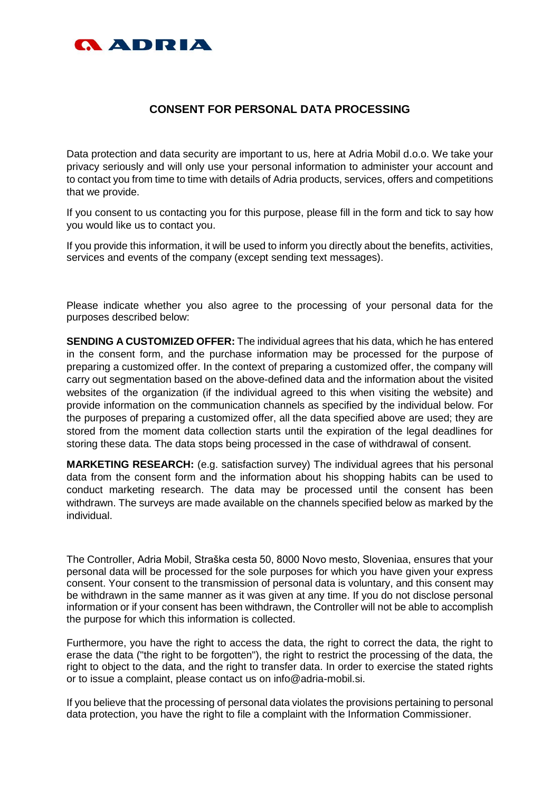

## **CONSENT FOR PERSONAL DATA PROCESSING**

Data protection and data security are important to us, here at Adria Mobil d.o.o. We take your privacy seriously and will only use your personal information to administer your account and to contact you from time to time with details of Adria products, services, offers and competitions that we provide.

If you consent to us contacting you for this purpose, please fill in the form and tick to say how you would like us to contact you.

If you provide this information, it will be used to inform you directly about the benefits, activities, services and events of the company (except sending text messages).

Please indicate whether you also agree to the processing of your personal data for the purposes described below:

**SENDING A CUSTOMIZED OFFER:** The individual agrees that his data, which he has entered in the consent form, and the purchase information may be processed for the purpose of preparing a customized offer. In the context of preparing a customized offer, the company will carry out segmentation based on the above-defined data and the information about the visited websites of the organization (if the individual agreed to this when visiting the website) and provide information on the communication channels as specified by the individual below. For the purposes of preparing a customized offer, all the data specified above are used; they are stored from the moment data collection starts until the expiration of the legal deadlines for storing these data. The data stops being processed in the case of withdrawal of consent.

**MARKETING RESEARCH:** (e.g. satisfaction survey) The individual agrees that his personal data from the consent form and the information about his shopping habits can be used to conduct marketing research. The data may be processed until the consent has been withdrawn. The surveys are made available on the channels specified below as marked by the individual.

The Controller, Adria Mobil, Straška cesta 50, 8000 Novo mesto, Sloveniaa, ensures that your personal data will be processed for the sole purposes for which you have given your express consent. Your consent to the transmission of personal data is voluntary, and this consent may be withdrawn in the same manner as it was given at any time. If you do not disclose personal information or if your consent has been withdrawn, the Controller will not be able to accomplish the purpose for which this information is collected.

Furthermore, you have the right to access the data, the right to correct the data, the right to erase the data ("the right to be forgotten"), the right to restrict the processing of the data, the right to object to the data, and the right to transfer data. In order to exercise the stated rights or to issue a complaint, please contact us on info@adria-mobil.si.

If you believe that the processing of personal data violates the provisions pertaining to personal data protection, you have the right to file a complaint with the Information Commissioner.